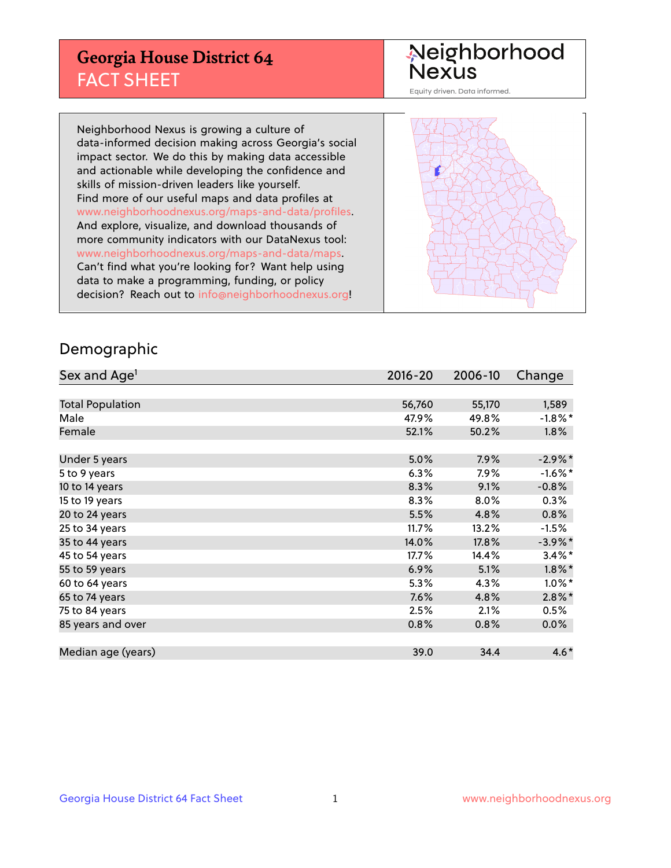## **Georgia House District 64** FACT SHEET

# Neighborhood<br>Nexus

Equity driven. Data informed.

Neighborhood Nexus is growing a culture of data-informed decision making across Georgia's social impact sector. We do this by making data accessible and actionable while developing the confidence and skills of mission-driven leaders like yourself. Find more of our useful maps and data profiles at www.neighborhoodnexus.org/maps-and-data/profiles. And explore, visualize, and download thousands of more community indicators with our DataNexus tool: www.neighborhoodnexus.org/maps-and-data/maps. Can't find what you're looking for? Want help using data to make a programming, funding, or policy decision? Reach out to [info@neighborhoodnexus.org!](mailto:info@neighborhoodnexus.org)



### Demographic

| Sex and Age <sup>1</sup> | $2016 - 20$ | 2006-10 | Change     |
|--------------------------|-------------|---------|------------|
|                          |             |         |            |
| <b>Total Population</b>  | 56,760      | 55,170  | 1,589      |
| Male                     | 47.9%       | 49.8%   | $-1.8\%$ * |
| Female                   | 52.1%       | 50.2%   | $1.8\%$    |
|                          |             |         |            |
| Under 5 years            | 5.0%        | 7.9%    | $-2.9\%$ * |
| 5 to 9 years             | 6.3%        | $7.9\%$ | $-1.6%$ *  |
| 10 to 14 years           | 8.3%        | 9.1%    | $-0.8%$    |
| 15 to 19 years           | 8.3%        | 8.0%    | 0.3%       |
| 20 to 24 years           | 5.5%        | 4.8%    | 0.8%       |
| 25 to 34 years           | 11.7%       | 13.2%   | $-1.5%$    |
| 35 to 44 years           | 14.0%       | 17.8%   | $-3.9\%$ * |
| 45 to 54 years           | $17.7\%$    | 14.4%   | $3.4\%$ *  |
| 55 to 59 years           | 6.9%        | 5.1%    | $1.8\%$ *  |
| 60 to 64 years           | 5.3%        | 4.3%    | $1.0\%$ *  |
| 65 to 74 years           | 7.6%        | 4.8%    | $2.8\%$ *  |
| 75 to 84 years           | 2.5%        | 2.1%    | 0.5%       |
| 85 years and over        | 0.8%        | 0.8%    | 0.0%       |
|                          |             |         |            |
| Median age (years)       | 39.0        | 34.4    | $4.6*$     |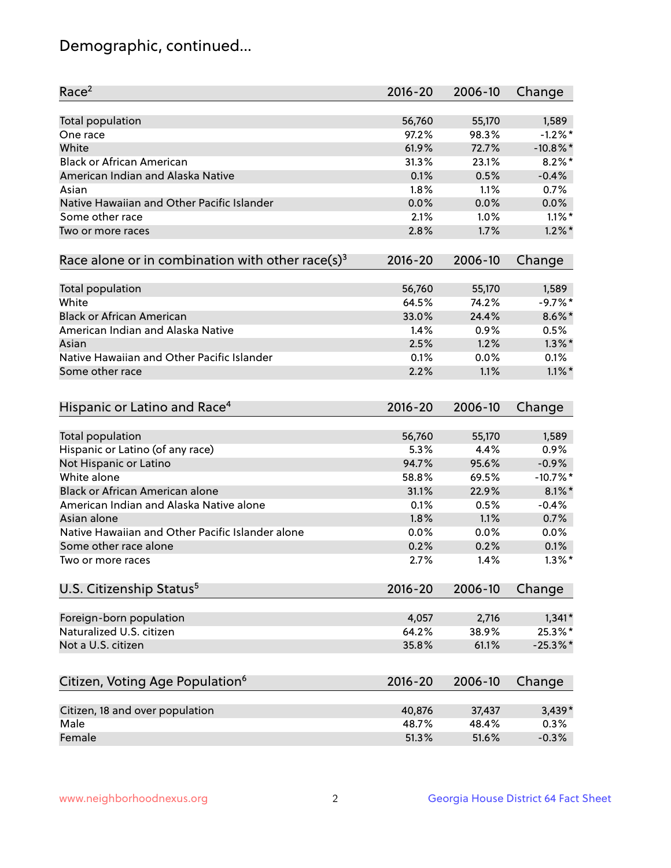## Demographic, continued...

| <b>Total population</b><br>56,760<br>55,170<br>1,589<br>$-1.2%$ *<br>97.2%<br>98.3%<br>One race<br>White<br>$-10.8\%$ *<br>61.9%<br>72.7%<br><b>Black or African American</b><br>$8.2\%$ *<br>31.3%<br>23.1%<br>American Indian and Alaska Native<br>0.1%<br>$-0.4%$<br>0.5%<br>1.8%<br>1.1%<br>0.7%<br>Asian<br>Native Hawaiian and Other Pacific Islander<br>0.0%<br>0.0%<br>0.0%<br>$1.1\%$ *<br>Some other race<br>2.1%<br>1.0%<br>$1.2\%$ *<br>2.8%<br>1.7%<br>Two or more races<br>Race alone or in combination with other race(s) <sup>3</sup><br>$2016 - 20$<br>2006-10<br>Change<br>55,170<br>Total population<br>56,760<br>1,589<br>White<br>$-9.7%$ *<br>64.5%<br>74.2%<br><b>Black or African American</b><br>$8.6\%$ *<br>33.0%<br>24.4%<br>American Indian and Alaska Native<br>0.9%<br>0.5%<br>1.4%<br>$1.3\%$ *<br>2.5%<br>1.2%<br>Asian<br>Native Hawaiian and Other Pacific Islander<br>0.1%<br>0.0%<br>0.1%<br>1.1%<br>$1.1\%$ *<br>Some other race<br>2.2%<br>Hispanic or Latino and Race <sup>4</sup><br>$2016 - 20$<br>2006-10<br>Change<br><b>Total population</b><br>56,760<br>55,170<br>1,589<br>Hispanic or Latino (of any race)<br>0.9%<br>5.3%<br>4.4%<br>Not Hispanic or Latino<br>94.7%<br>95.6%<br>$-0.9%$<br>White alone<br>$-10.7%$ *<br>58.8%<br>69.5%<br>Black or African American alone<br>$8.1\%$ *<br>31.1%<br>22.9%<br>American Indian and Alaska Native alone<br>0.1%<br>0.5%<br>$-0.4%$<br>Asian alone<br>1.8%<br>0.7%<br>1.1%<br>Native Hawaiian and Other Pacific Islander alone<br>0.0%<br>0.0%<br>0.0%<br>Some other race alone<br>0.2%<br>0.2%<br>0.1%<br>2.7%<br>1.4%<br>$1.3\%$ *<br>Two or more races<br>U.S. Citizenship Status <sup>5</sup><br>$2016 - 20$<br>2006-10<br>Change<br>Foreign-born population<br>2,716<br>$1,341*$<br>4,057<br>Naturalized U.S. citizen<br>25.3%*<br>64.2%<br>38.9%<br>Not a U.S. citizen<br>$-25.3%$<br>35.8%<br>61.1%<br>Citizen, Voting Age Population <sup>6</sup><br>2006-10<br>Change<br>2016-20<br>Citizen, 18 and over population<br>$3,439*$<br>40,876<br>37,437<br>Male<br>48.7%<br>48.4%<br>0.3%<br>Female<br>51.3%<br>51.6%<br>$-0.3%$ | Race <sup>2</sup> | $2016 - 20$ | 2006-10 | Change |
|------------------------------------------------------------------------------------------------------------------------------------------------------------------------------------------------------------------------------------------------------------------------------------------------------------------------------------------------------------------------------------------------------------------------------------------------------------------------------------------------------------------------------------------------------------------------------------------------------------------------------------------------------------------------------------------------------------------------------------------------------------------------------------------------------------------------------------------------------------------------------------------------------------------------------------------------------------------------------------------------------------------------------------------------------------------------------------------------------------------------------------------------------------------------------------------------------------------------------------------------------------------------------------------------------------------------------------------------------------------------------------------------------------------------------------------------------------------------------------------------------------------------------------------------------------------------------------------------------------------------------------------------------------------------------------------------------------------------------------------------------------------------------------------------------------------------------------------------------------------------------------------------------------------------------------------------------------------------------------------------------------------------------------------------------------------------------------------------------------------------------------|-------------------|-------------|---------|--------|
|                                                                                                                                                                                                                                                                                                                                                                                                                                                                                                                                                                                                                                                                                                                                                                                                                                                                                                                                                                                                                                                                                                                                                                                                                                                                                                                                                                                                                                                                                                                                                                                                                                                                                                                                                                                                                                                                                                                                                                                                                                                                                                                                    |                   |             |         |        |
|                                                                                                                                                                                                                                                                                                                                                                                                                                                                                                                                                                                                                                                                                                                                                                                                                                                                                                                                                                                                                                                                                                                                                                                                                                                                                                                                                                                                                                                                                                                                                                                                                                                                                                                                                                                                                                                                                                                                                                                                                                                                                                                                    |                   |             |         |        |
|                                                                                                                                                                                                                                                                                                                                                                                                                                                                                                                                                                                                                                                                                                                                                                                                                                                                                                                                                                                                                                                                                                                                                                                                                                                                                                                                                                                                                                                                                                                                                                                                                                                                                                                                                                                                                                                                                                                                                                                                                                                                                                                                    |                   |             |         |        |
|                                                                                                                                                                                                                                                                                                                                                                                                                                                                                                                                                                                                                                                                                                                                                                                                                                                                                                                                                                                                                                                                                                                                                                                                                                                                                                                                                                                                                                                                                                                                                                                                                                                                                                                                                                                                                                                                                                                                                                                                                                                                                                                                    |                   |             |         |        |
|                                                                                                                                                                                                                                                                                                                                                                                                                                                                                                                                                                                                                                                                                                                                                                                                                                                                                                                                                                                                                                                                                                                                                                                                                                                                                                                                                                                                                                                                                                                                                                                                                                                                                                                                                                                                                                                                                                                                                                                                                                                                                                                                    |                   |             |         |        |
|                                                                                                                                                                                                                                                                                                                                                                                                                                                                                                                                                                                                                                                                                                                                                                                                                                                                                                                                                                                                                                                                                                                                                                                                                                                                                                                                                                                                                                                                                                                                                                                                                                                                                                                                                                                                                                                                                                                                                                                                                                                                                                                                    |                   |             |         |        |
|                                                                                                                                                                                                                                                                                                                                                                                                                                                                                                                                                                                                                                                                                                                                                                                                                                                                                                                                                                                                                                                                                                                                                                                                                                                                                                                                                                                                                                                                                                                                                                                                                                                                                                                                                                                                                                                                                                                                                                                                                                                                                                                                    |                   |             |         |        |
|                                                                                                                                                                                                                                                                                                                                                                                                                                                                                                                                                                                                                                                                                                                                                                                                                                                                                                                                                                                                                                                                                                                                                                                                                                                                                                                                                                                                                                                                                                                                                                                                                                                                                                                                                                                                                                                                                                                                                                                                                                                                                                                                    |                   |             |         |        |
|                                                                                                                                                                                                                                                                                                                                                                                                                                                                                                                                                                                                                                                                                                                                                                                                                                                                                                                                                                                                                                                                                                                                                                                                                                                                                                                                                                                                                                                                                                                                                                                                                                                                                                                                                                                                                                                                                                                                                                                                                                                                                                                                    |                   |             |         |        |
|                                                                                                                                                                                                                                                                                                                                                                                                                                                                                                                                                                                                                                                                                                                                                                                                                                                                                                                                                                                                                                                                                                                                                                                                                                                                                                                                                                                                                                                                                                                                                                                                                                                                                                                                                                                                                                                                                                                                                                                                                                                                                                                                    |                   |             |         |        |
|                                                                                                                                                                                                                                                                                                                                                                                                                                                                                                                                                                                                                                                                                                                                                                                                                                                                                                                                                                                                                                                                                                                                                                                                                                                                                                                                                                                                                                                                                                                                                                                                                                                                                                                                                                                                                                                                                                                                                                                                                                                                                                                                    |                   |             |         |        |
|                                                                                                                                                                                                                                                                                                                                                                                                                                                                                                                                                                                                                                                                                                                                                                                                                                                                                                                                                                                                                                                                                                                                                                                                                                                                                                                                                                                                                                                                                                                                                                                                                                                                                                                                                                                                                                                                                                                                                                                                                                                                                                                                    |                   |             |         |        |
|                                                                                                                                                                                                                                                                                                                                                                                                                                                                                                                                                                                                                                                                                                                                                                                                                                                                                                                                                                                                                                                                                                                                                                                                                                                                                                                                                                                                                                                                                                                                                                                                                                                                                                                                                                                                                                                                                                                                                                                                                                                                                                                                    |                   |             |         |        |
|                                                                                                                                                                                                                                                                                                                                                                                                                                                                                                                                                                                                                                                                                                                                                                                                                                                                                                                                                                                                                                                                                                                                                                                                                                                                                                                                                                                                                                                                                                                                                                                                                                                                                                                                                                                                                                                                                                                                                                                                                                                                                                                                    |                   |             |         |        |
|                                                                                                                                                                                                                                                                                                                                                                                                                                                                                                                                                                                                                                                                                                                                                                                                                                                                                                                                                                                                                                                                                                                                                                                                                                                                                                                                                                                                                                                                                                                                                                                                                                                                                                                                                                                                                                                                                                                                                                                                                                                                                                                                    |                   |             |         |        |
|                                                                                                                                                                                                                                                                                                                                                                                                                                                                                                                                                                                                                                                                                                                                                                                                                                                                                                                                                                                                                                                                                                                                                                                                                                                                                                                                                                                                                                                                                                                                                                                                                                                                                                                                                                                                                                                                                                                                                                                                                                                                                                                                    |                   |             |         |        |
|                                                                                                                                                                                                                                                                                                                                                                                                                                                                                                                                                                                                                                                                                                                                                                                                                                                                                                                                                                                                                                                                                                                                                                                                                                                                                                                                                                                                                                                                                                                                                                                                                                                                                                                                                                                                                                                                                                                                                                                                                                                                                                                                    |                   |             |         |        |
|                                                                                                                                                                                                                                                                                                                                                                                                                                                                                                                                                                                                                                                                                                                                                                                                                                                                                                                                                                                                                                                                                                                                                                                                                                                                                                                                                                                                                                                                                                                                                                                                                                                                                                                                                                                                                                                                                                                                                                                                                                                                                                                                    |                   |             |         |        |
|                                                                                                                                                                                                                                                                                                                                                                                                                                                                                                                                                                                                                                                                                                                                                                                                                                                                                                                                                                                                                                                                                                                                                                                                                                                                                                                                                                                                                                                                                                                                                                                                                                                                                                                                                                                                                                                                                                                                                                                                                                                                                                                                    |                   |             |         |        |
|                                                                                                                                                                                                                                                                                                                                                                                                                                                                                                                                                                                                                                                                                                                                                                                                                                                                                                                                                                                                                                                                                                                                                                                                                                                                                                                                                                                                                                                                                                                                                                                                                                                                                                                                                                                                                                                                                                                                                                                                                                                                                                                                    |                   |             |         |        |
|                                                                                                                                                                                                                                                                                                                                                                                                                                                                                                                                                                                                                                                                                                                                                                                                                                                                                                                                                                                                                                                                                                                                                                                                                                                                                                                                                                                                                                                                                                                                                                                                                                                                                                                                                                                                                                                                                                                                                                                                                                                                                                                                    |                   |             |         |        |
|                                                                                                                                                                                                                                                                                                                                                                                                                                                                                                                                                                                                                                                                                                                                                                                                                                                                                                                                                                                                                                                                                                                                                                                                                                                                                                                                                                                                                                                                                                                                                                                                                                                                                                                                                                                                                                                                                                                                                                                                                                                                                                                                    |                   |             |         |        |
|                                                                                                                                                                                                                                                                                                                                                                                                                                                                                                                                                                                                                                                                                                                                                                                                                                                                                                                                                                                                                                                                                                                                                                                                                                                                                                                                                                                                                                                                                                                                                                                                                                                                                                                                                                                                                                                                                                                                                                                                                                                                                                                                    |                   |             |         |        |
|                                                                                                                                                                                                                                                                                                                                                                                                                                                                                                                                                                                                                                                                                                                                                                                                                                                                                                                                                                                                                                                                                                                                                                                                                                                                                                                                                                                                                                                                                                                                                                                                                                                                                                                                                                                                                                                                                                                                                                                                                                                                                                                                    |                   |             |         |        |
|                                                                                                                                                                                                                                                                                                                                                                                                                                                                                                                                                                                                                                                                                                                                                                                                                                                                                                                                                                                                                                                                                                                                                                                                                                                                                                                                                                                                                                                                                                                                                                                                                                                                                                                                                                                                                                                                                                                                                                                                                                                                                                                                    |                   |             |         |        |
|                                                                                                                                                                                                                                                                                                                                                                                                                                                                                                                                                                                                                                                                                                                                                                                                                                                                                                                                                                                                                                                                                                                                                                                                                                                                                                                                                                                                                                                                                                                                                                                                                                                                                                                                                                                                                                                                                                                                                                                                                                                                                                                                    |                   |             |         |        |
|                                                                                                                                                                                                                                                                                                                                                                                                                                                                                                                                                                                                                                                                                                                                                                                                                                                                                                                                                                                                                                                                                                                                                                                                                                                                                                                                                                                                                                                                                                                                                                                                                                                                                                                                                                                                                                                                                                                                                                                                                                                                                                                                    |                   |             |         |        |
|                                                                                                                                                                                                                                                                                                                                                                                                                                                                                                                                                                                                                                                                                                                                                                                                                                                                                                                                                                                                                                                                                                                                                                                                                                                                                                                                                                                                                                                                                                                                                                                                                                                                                                                                                                                                                                                                                                                                                                                                                                                                                                                                    |                   |             |         |        |
|                                                                                                                                                                                                                                                                                                                                                                                                                                                                                                                                                                                                                                                                                                                                                                                                                                                                                                                                                                                                                                                                                                                                                                                                                                                                                                                                                                                                                                                                                                                                                                                                                                                                                                                                                                                                                                                                                                                                                                                                                                                                                                                                    |                   |             |         |        |
|                                                                                                                                                                                                                                                                                                                                                                                                                                                                                                                                                                                                                                                                                                                                                                                                                                                                                                                                                                                                                                                                                                                                                                                                                                                                                                                                                                                                                                                                                                                                                                                                                                                                                                                                                                                                                                                                                                                                                                                                                                                                                                                                    |                   |             |         |        |
|                                                                                                                                                                                                                                                                                                                                                                                                                                                                                                                                                                                                                                                                                                                                                                                                                                                                                                                                                                                                                                                                                                                                                                                                                                                                                                                                                                                                                                                                                                                                                                                                                                                                                                                                                                                                                                                                                                                                                                                                                                                                                                                                    |                   |             |         |        |
|                                                                                                                                                                                                                                                                                                                                                                                                                                                                                                                                                                                                                                                                                                                                                                                                                                                                                                                                                                                                                                                                                                                                                                                                                                                                                                                                                                                                                                                                                                                                                                                                                                                                                                                                                                                                                                                                                                                                                                                                                                                                                                                                    |                   |             |         |        |
|                                                                                                                                                                                                                                                                                                                                                                                                                                                                                                                                                                                                                                                                                                                                                                                                                                                                                                                                                                                                                                                                                                                                                                                                                                                                                                                                                                                                                                                                                                                                                                                                                                                                                                                                                                                                                                                                                                                                                                                                                                                                                                                                    |                   |             |         |        |
|                                                                                                                                                                                                                                                                                                                                                                                                                                                                                                                                                                                                                                                                                                                                                                                                                                                                                                                                                                                                                                                                                                                                                                                                                                                                                                                                                                                                                                                                                                                                                                                                                                                                                                                                                                                                                                                                                                                                                                                                                                                                                                                                    |                   |             |         |        |
|                                                                                                                                                                                                                                                                                                                                                                                                                                                                                                                                                                                                                                                                                                                                                                                                                                                                                                                                                                                                                                                                                                                                                                                                                                                                                                                                                                                                                                                                                                                                                                                                                                                                                                                                                                                                                                                                                                                                                                                                                                                                                                                                    |                   |             |         |        |
|                                                                                                                                                                                                                                                                                                                                                                                                                                                                                                                                                                                                                                                                                                                                                                                                                                                                                                                                                                                                                                                                                                                                                                                                                                                                                                                                                                                                                                                                                                                                                                                                                                                                                                                                                                                                                                                                                                                                                                                                                                                                                                                                    |                   |             |         |        |
|                                                                                                                                                                                                                                                                                                                                                                                                                                                                                                                                                                                                                                                                                                                                                                                                                                                                                                                                                                                                                                                                                                                                                                                                                                                                                                                                                                                                                                                                                                                                                                                                                                                                                                                                                                                                                                                                                                                                                                                                                                                                                                                                    |                   |             |         |        |
|                                                                                                                                                                                                                                                                                                                                                                                                                                                                                                                                                                                                                                                                                                                                                                                                                                                                                                                                                                                                                                                                                                                                                                                                                                                                                                                                                                                                                                                                                                                                                                                                                                                                                                                                                                                                                                                                                                                                                                                                                                                                                                                                    |                   |             |         |        |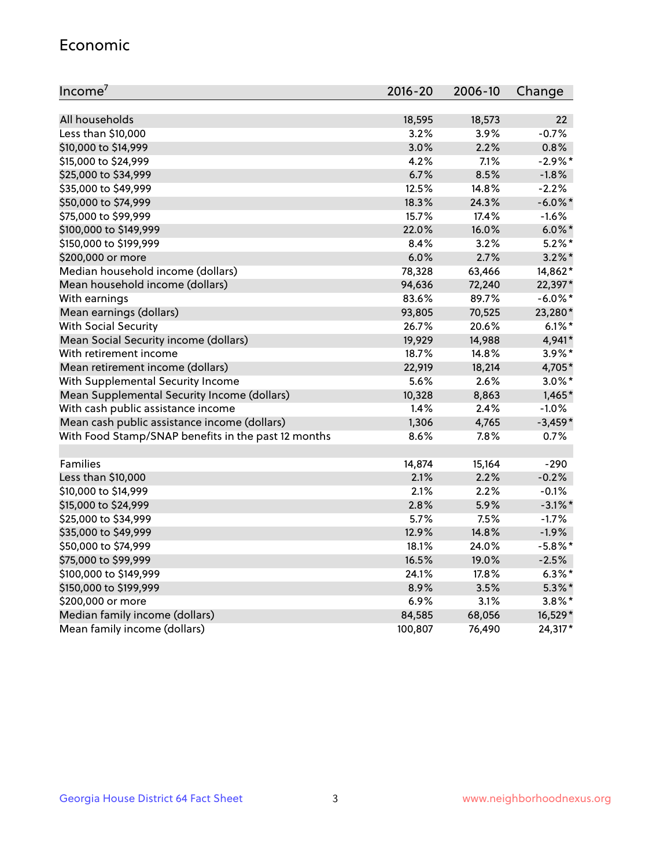#### Economic

| Income <sup>7</sup>                                 | 2016-20 | 2006-10 | Change     |
|-----------------------------------------------------|---------|---------|------------|
|                                                     |         |         |            |
| All households                                      | 18,595  | 18,573  | 22         |
| Less than \$10,000                                  | 3.2%    | 3.9%    | $-0.7%$    |
| \$10,000 to \$14,999                                | 3.0%    | 2.2%    | 0.8%       |
| \$15,000 to \$24,999                                | 4.2%    | 7.1%    | $-2.9\%$ * |
| \$25,000 to \$34,999                                | 6.7%    | 8.5%    | $-1.8%$    |
| \$35,000 to \$49,999                                | 12.5%   | 14.8%   | $-2.2%$    |
| \$50,000 to \$74,999                                | 18.3%   | 24.3%   | $-6.0\%$ * |
| \$75,000 to \$99,999                                | 15.7%   | 17.4%   | $-1.6%$    |
| \$100,000 to \$149,999                              | 22.0%   | 16.0%   | $6.0\%$ *  |
| \$150,000 to \$199,999                              | $8.4\%$ | 3.2%    | $5.2\%$ *  |
| \$200,000 or more                                   | 6.0%    | 2.7%    | $3.2\%$ *  |
| Median household income (dollars)                   | 78,328  | 63,466  | 14,862*    |
| Mean household income (dollars)                     | 94,636  | 72,240  | 22,397*    |
| With earnings                                       | 83.6%   | 89.7%   | $-6.0\%$ * |
| Mean earnings (dollars)                             | 93,805  | 70,525  | 23,280*    |
| <b>With Social Security</b>                         | 26.7%   | 20.6%   | $6.1\%$ *  |
| Mean Social Security income (dollars)               | 19,929  | 14,988  | 4,941*     |
| With retirement income                              | 18.7%   | 14.8%   | 3.9%*      |
| Mean retirement income (dollars)                    | 22,919  | 18,214  | 4,705*     |
| With Supplemental Security Income                   | 5.6%    | 2.6%    | $3.0\%$ *  |
| Mean Supplemental Security Income (dollars)         | 10,328  | 8,863   | $1,465*$   |
| With cash public assistance income                  | 1.4%    | 2.4%    | $-1.0%$    |
| Mean cash public assistance income (dollars)        | 1,306   | 4,765   | $-3,459*$  |
| With Food Stamp/SNAP benefits in the past 12 months | 8.6%    | 7.8%    | 0.7%       |
|                                                     |         |         |            |
| Families                                            | 14,874  | 15,164  | $-290$     |
| Less than \$10,000                                  | 2.1%    | 2.2%    | $-0.2%$    |
| \$10,000 to \$14,999                                | 2.1%    | 2.2%    | $-0.1%$    |
| \$15,000 to \$24,999                                | 2.8%    | 5.9%    | $-3.1\%$ * |
| \$25,000 to \$34,999                                | 5.7%    | 7.5%    | $-1.7%$    |
| \$35,000 to \$49,999                                | 12.9%   | 14.8%   | $-1.9%$    |
| \$50,000 to \$74,999                                | 18.1%   | 24.0%   | $-5.8\%$ * |
| \$75,000 to \$99,999                                | 16.5%   | 19.0%   | $-2.5%$    |
| \$100,000 to \$149,999                              | 24.1%   | 17.8%   | $6.3\%$ *  |
| \$150,000 to \$199,999                              | 8.9%    | 3.5%    | $5.3\%$ *  |
| \$200,000 or more                                   | 6.9%    | 3.1%    | $3.8\%$ *  |
| Median family income (dollars)                      | 84,585  | 68,056  | 16,529*    |
| Mean family income (dollars)                        | 100,807 | 76,490  | 24,317*    |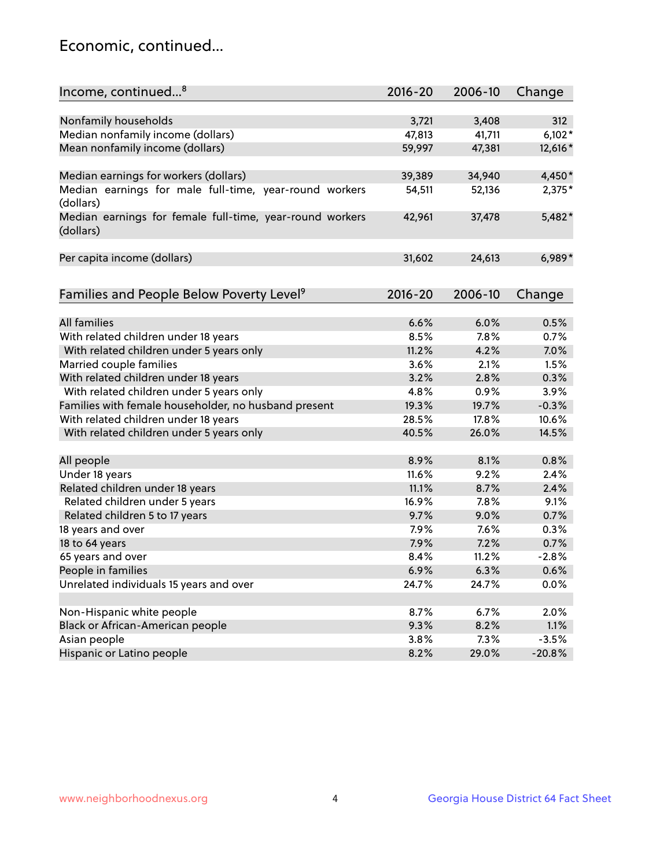## Economic, continued...

| Income, continued <sup>8</sup>                                        | $2016 - 20$ | 2006-10 | Change   |
|-----------------------------------------------------------------------|-------------|---------|----------|
|                                                                       |             |         |          |
| Nonfamily households                                                  | 3,721       | 3,408   | 312      |
| Median nonfamily income (dollars)                                     | 47,813      | 41,711  | $6,102*$ |
| Mean nonfamily income (dollars)                                       | 59,997      | 47,381  | 12,616*  |
| Median earnings for workers (dollars)                                 | 39,389      | 34,940  | 4,450*   |
| Median earnings for male full-time, year-round workers                | 54,511      | 52,136  | 2,375*   |
| (dollars)                                                             |             |         |          |
| Median earnings for female full-time, year-round workers<br>(dollars) | 42,961      | 37,478  | $5,482*$ |
| Per capita income (dollars)                                           | 31,602      | 24,613  | $6,989*$ |
|                                                                       |             |         |          |
| Families and People Below Poverty Level <sup>9</sup>                  | 2016-20     | 2006-10 | Change   |
|                                                                       |             |         |          |
| <b>All families</b>                                                   | 6.6%        | 6.0%    | 0.5%     |
| With related children under 18 years                                  | 8.5%        | 7.8%    | 0.7%     |
| With related children under 5 years only                              | 11.2%       | 4.2%    | 7.0%     |
| Married couple families                                               | 3.6%        | 2.1%    | 1.5%     |
| With related children under 18 years                                  | 3.2%        | 2.8%    | 0.3%     |
| With related children under 5 years only                              | 4.8%        | 0.9%    | 3.9%     |
| Families with female householder, no husband present                  | 19.3%       | 19.7%   | $-0.3%$  |
| With related children under 18 years                                  | 28.5%       | 17.8%   | 10.6%    |
| With related children under 5 years only                              | 40.5%       | 26.0%   | 14.5%    |
| All people                                                            | 8.9%        | 8.1%    | 0.8%     |
| Under 18 years                                                        | 11.6%       | 9.2%    | 2.4%     |
| Related children under 18 years                                       | 11.1%       | 8.7%    | 2.4%     |
| Related children under 5 years                                        | 16.9%       | 7.8%    | 9.1%     |
| Related children 5 to 17 years                                        | 9.7%        | 9.0%    | 0.7%     |
| 18 years and over                                                     | 7.9%        | 7.6%    | 0.3%     |
|                                                                       | 7.9%        |         |          |
| 18 to 64 years                                                        |             | 7.2%    | 0.7%     |
| 65 years and over                                                     | 8.4%        | 11.2%   | $-2.8%$  |
| People in families                                                    | 6.9%        | 6.3%    | 0.6%     |
| Unrelated individuals 15 years and over                               | 24.7%       | 24.7%   | 0.0%     |
|                                                                       |             |         |          |
| Non-Hispanic white people                                             | 8.7%        | 6.7%    | 2.0%     |
| Black or African-American people                                      | 9.3%        | 8.2%    | 1.1%     |
| Asian people                                                          | 3.8%        | 7.3%    | $-3.5%$  |
| Hispanic or Latino people                                             | 8.2%        | 29.0%   | $-20.8%$ |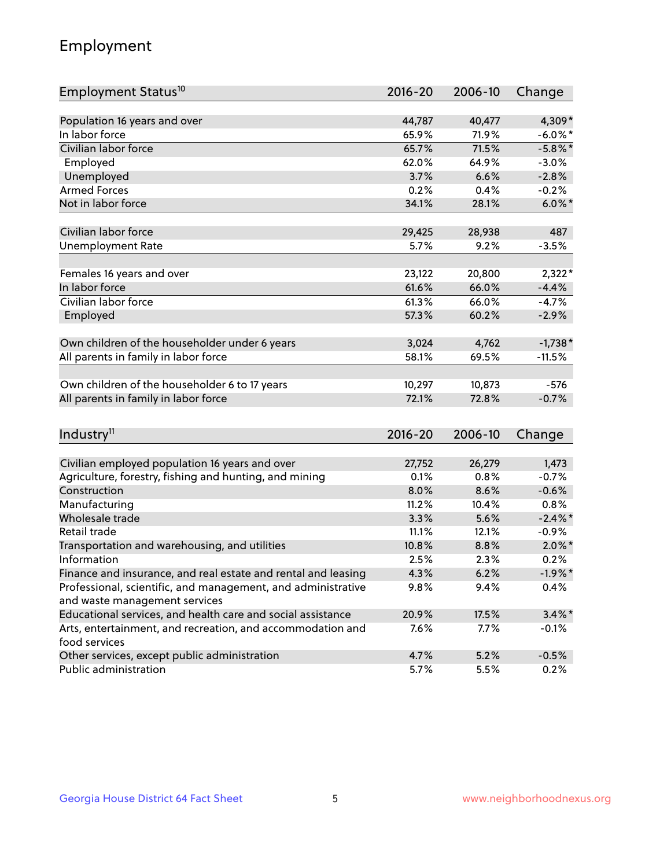## Employment

| Employment Status <sup>10</sup>                                             | $2016 - 20$ | 2006-10 | Change     |
|-----------------------------------------------------------------------------|-------------|---------|------------|
|                                                                             |             |         |            |
| Population 16 years and over                                                | 44,787      | 40,477  | 4,309*     |
| In labor force                                                              | 65.9%       | 71.9%   | $-6.0\%$ * |
| Civilian labor force                                                        | 65.7%       | 71.5%   | $-5.8\%$ * |
| Employed                                                                    | 62.0%       | 64.9%   | $-3.0%$    |
| Unemployed                                                                  | 3.7%        | 6.6%    | $-2.8%$    |
| <b>Armed Forces</b>                                                         | 0.2%        | 0.4%    | $-0.2%$    |
| Not in labor force                                                          | 34.1%       | 28.1%   | $6.0\%$ *  |
| Civilian labor force                                                        | 29,425      | 28,938  | 487        |
|                                                                             |             |         |            |
| <b>Unemployment Rate</b>                                                    | 5.7%        | 9.2%    | $-3.5%$    |
| Females 16 years and over                                                   | 23,122      | 20,800  | $2,322*$   |
| In labor force                                                              | 61.6%       | 66.0%   | $-4.4%$    |
| Civilian labor force                                                        | 61.3%       | 66.0%   | $-4.7%$    |
| Employed                                                                    | 57.3%       | 60.2%   | $-2.9%$    |
|                                                                             |             |         |            |
| Own children of the householder under 6 years                               | 3,024       | 4,762   | $-1,738*$  |
| All parents in family in labor force                                        | 58.1%       | 69.5%   | $-11.5%$   |
| Own children of the householder 6 to 17 years                               | 10,297      | 10,873  | $-576$     |
| All parents in family in labor force                                        | 72.1%       | 72.8%   | $-0.7%$    |
|                                                                             |             |         |            |
| Industry <sup>11</sup>                                                      | $2016 - 20$ | 2006-10 | Change     |
|                                                                             |             |         |            |
| Civilian employed population 16 years and over                              | 27,752      | 26,279  | 1,473      |
| Agriculture, forestry, fishing and hunting, and mining                      | 0.1%        | 0.8%    | $-0.7%$    |
| Construction                                                                | 8.0%        | 8.6%    | $-0.6%$    |
| Manufacturing                                                               | 11.2%       | 10.4%   | 0.8%       |
| Wholesale trade                                                             | 3.3%        | 5.6%    | $-2.4\%$   |
| Retail trade                                                                | 11.1%       | 12.1%   | $-0.9%$    |
| Transportation and warehousing, and utilities                               | 10.8%       | 8.8%    | $2.0\%$ *  |
| Information                                                                 | 2.5%        | 2.3%    | 0.2%       |
| Finance and insurance, and real estate and rental and leasing               | 4.3%        | 6.2%    | $-1.9%$ *  |
| Professional, scientific, and management, and administrative                | 9.8%        | 9.4%    | 0.4%       |
| and waste management services                                               |             |         |            |
| Educational services, and health care and social assistance                 | 20.9%       | 17.5%   | $3.4\%$ *  |
| Arts, entertainment, and recreation, and accommodation and<br>food services | 7.6%        | 7.7%    | $-0.1%$    |
| Other services, except public administration                                | 4.7%        | 5.2%    | $-0.5%$    |
| Public administration                                                       | 5.7%        | 5.5%    | 0.2%       |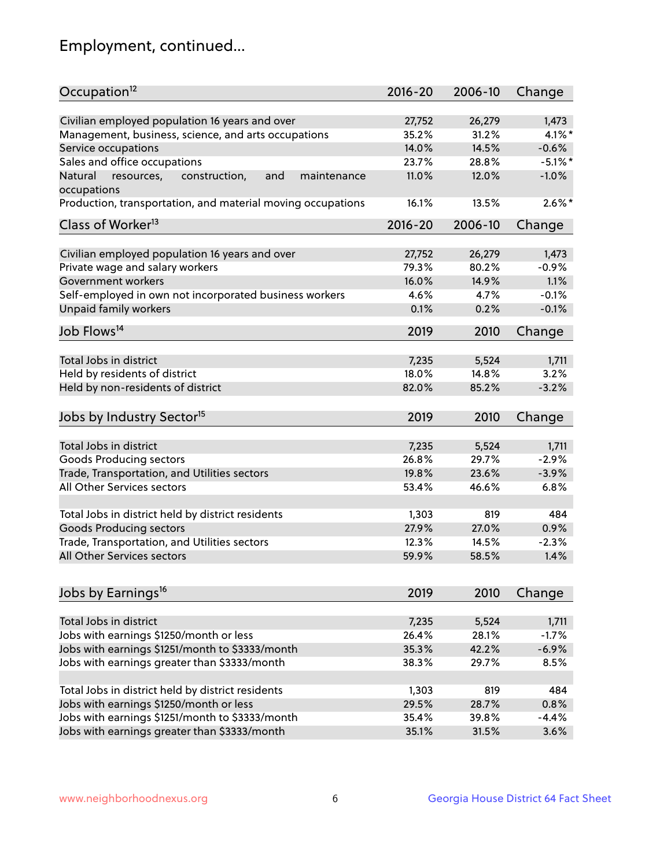## Employment, continued...

| Occupation <sup>12</sup>                                                    | $2016 - 20$ | 2006-10 | Change     |
|-----------------------------------------------------------------------------|-------------|---------|------------|
| Civilian employed population 16 years and over                              | 27,752      | 26,279  | 1,473      |
| Management, business, science, and arts occupations                         | 35.2%       | 31.2%   | $4.1\%$ *  |
| Service occupations                                                         | 14.0%       | 14.5%   | $-0.6%$    |
| Sales and office occupations                                                | 23.7%       |         | $-5.1\%$ * |
|                                                                             |             | 28.8%   |            |
| Natural<br>and<br>resources,<br>construction,<br>maintenance<br>occupations | 11.0%       | 12.0%   | $-1.0%$    |
| Production, transportation, and material moving occupations                 | 16.1%       | 13.5%   | $2.6\%$ *  |
| Class of Worker <sup>13</sup>                                               | $2016 - 20$ | 2006-10 | Change     |
| Civilian employed population 16 years and over                              | 27,752      | 26,279  | 1,473      |
| Private wage and salary workers                                             | 79.3%       | 80.2%   | $-0.9%$    |
| Government workers                                                          | 16.0%       | 14.9%   | 1.1%       |
| Self-employed in own not incorporated business workers                      | 4.6%        | 4.7%    | $-0.1%$    |
| Unpaid family workers                                                       | 0.1%        | 0.2%    | $-0.1%$    |
| Job Flows <sup>14</sup>                                                     | 2019        | 2010    | Change     |
|                                                                             |             |         |            |
| Total Jobs in district                                                      | 7,235       | 5,524   | 1,711      |
| Held by residents of district                                               | 18.0%       | 14.8%   | 3.2%       |
| Held by non-residents of district                                           | 82.0%       | 85.2%   | $-3.2%$    |
| Jobs by Industry Sector <sup>15</sup>                                       | 2019        | 2010    | Change     |
| Total Jobs in district                                                      | 7,235       | 5,524   | 1,711      |
| Goods Producing sectors                                                     | 26.8%       | 29.7%   | $-2.9%$    |
| Trade, Transportation, and Utilities sectors                                | 19.8%       | 23.6%   | $-3.9%$    |
| All Other Services sectors                                                  | 53.4%       | 46.6%   | 6.8%       |
|                                                                             |             |         |            |
| Total Jobs in district held by district residents                           | 1,303       | 819     | 484        |
| <b>Goods Producing sectors</b>                                              | 27.9%       | 27.0%   | 0.9%       |
| Trade, Transportation, and Utilities sectors                                | 12.3%       | 14.5%   | $-2.3%$    |
| All Other Services sectors                                                  | 59.9%       | 58.5%   | 1.4%       |
|                                                                             |             |         |            |
| Jobs by Earnings <sup>16</sup>                                              | 2019        | 2010    | Change     |
| Total Jobs in district                                                      | 7,235       | 5,524   | 1,711      |
| Jobs with earnings \$1250/month or less                                     | 26.4%       | 28.1%   | $-1.7%$    |
| Jobs with earnings \$1251/month to \$3333/month                             | 35.3%       | 42.2%   | $-6.9%$    |
| Jobs with earnings greater than \$3333/month                                | 38.3%       | 29.7%   | 8.5%       |
|                                                                             |             |         |            |
| Total Jobs in district held by district residents                           | 1,303       | 819     | 484        |
| Jobs with earnings \$1250/month or less                                     | 29.5%       | 28.7%   | 0.8%       |
| Jobs with earnings \$1251/month to \$3333/month                             | 35.4%       | 39.8%   | $-4.4%$    |
| Jobs with earnings greater than \$3333/month                                | 35.1%       | 31.5%   | 3.6%       |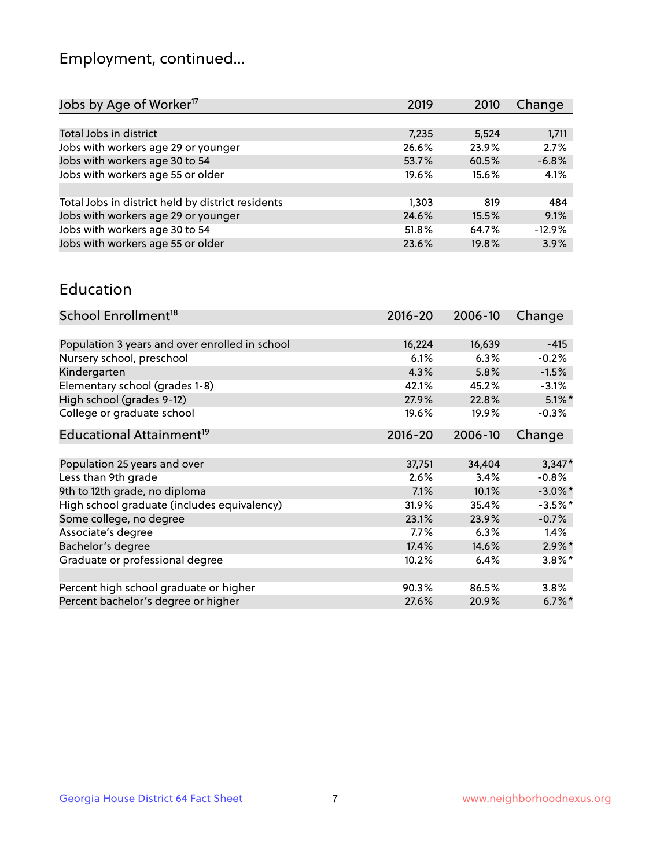## Employment, continued...

| 2019  | 2010  | Change   |
|-------|-------|----------|
|       |       |          |
| 7,235 | 5,524 | 1,711    |
| 26.6% | 23.9% | 2.7%     |
| 53.7% | 60.5% | $-6.8%$  |
| 19.6% | 15.6% | 4.1%     |
|       |       |          |
| 1,303 | 819   | 484      |
| 24.6% | 15.5% | 9.1%     |
| 51.8% | 64.7% | $-12.9%$ |
| 23.6% | 19.8% | 3.9%     |
|       |       |          |

#### Education

| School Enrollment <sup>18</sup>                | $2016 - 20$ | 2006-10 | Change               |
|------------------------------------------------|-------------|---------|----------------------|
|                                                |             |         |                      |
| Population 3 years and over enrolled in school | 16,224      | 16,639  | $-415$               |
| Nursery school, preschool                      | 6.1%        | 6.3%    | $-0.2%$              |
| Kindergarten                                   | 4.3%        | 5.8%    | $-1.5%$              |
| Elementary school (grades 1-8)                 | 42.1%       | 45.2%   | $-3.1%$              |
| High school (grades 9-12)                      | 27.9%       | 22.8%   | $5.1\%$ *            |
| College or graduate school                     | 19.6%       | 19.9%   | $-0.3%$              |
| Educational Attainment <sup>19</sup>           | $2016 - 20$ | 2006-10 | Change               |
|                                                |             |         |                      |
| Population 25 years and over                   | 37,751      | 34,404  | $3,347*$             |
| Less than 9th grade                            | 2.6%        | 3.4%    | $-0.8%$              |
| 9th to 12th grade, no diploma                  | 7.1%        | 10.1%   | $-3.0\%$ *           |
| High school graduate (includes equivalency)    | 31.9%       | 35.4%   | $-3.5%$ *            |
| Some college, no degree                        | 23.1%       | 23.9%   | $-0.7%$              |
| Associate's degree                             | 7.7%        | 6.3%    | $1.4\%$              |
| Bachelor's degree                              | 17.4%       | 14.6%   | $2.9\%$ *            |
| Graduate or professional degree                | 10.2%       | 6.4%    | $3.8\%$ *            |
|                                                |             |         |                      |
| Percent high school graduate or higher         | 90.3%       | 86.5%   | 3.8%                 |
| Percent bachelor's degree or higher            | 27.6%       | 20.9%   | $6.7\%$ <sup>*</sup> |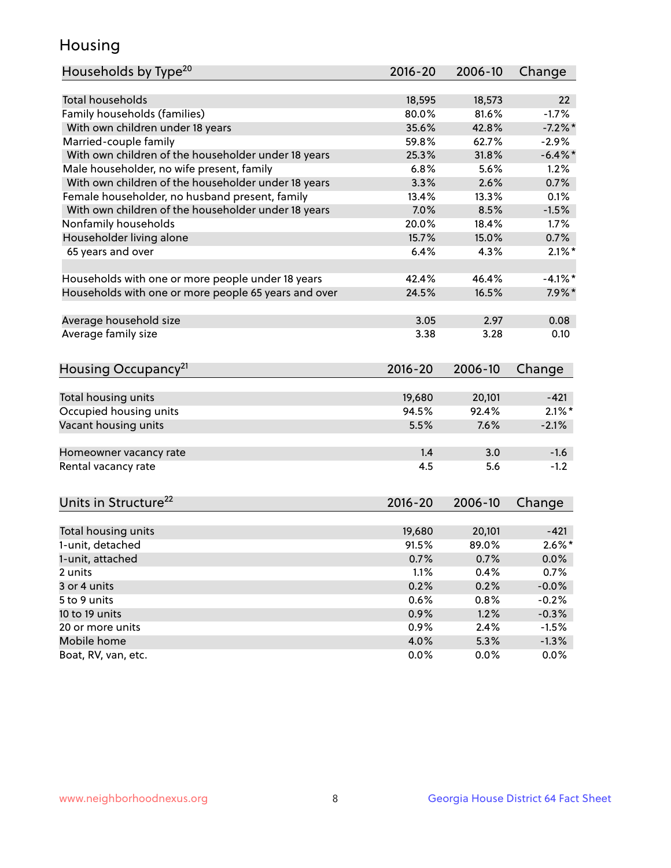## Housing

| Households by Type <sup>20</sup>                     | 2016-20     | 2006-10 | Change     |
|------------------------------------------------------|-------------|---------|------------|
|                                                      |             |         |            |
| <b>Total households</b>                              | 18,595      | 18,573  | 22         |
| Family households (families)                         | 80.0%       | 81.6%   | $-1.7%$    |
| With own children under 18 years                     | 35.6%       | 42.8%   | $-7.2%$    |
| Married-couple family                                | 59.8%       | 62.7%   | $-2.9%$    |
| With own children of the householder under 18 years  | 25.3%       | 31.8%   | $-6.4\%$ * |
| Male householder, no wife present, family            | 6.8%        | 5.6%    | 1.2%       |
| With own children of the householder under 18 years  | 3.3%        | 2.6%    | 0.7%       |
| Female householder, no husband present, family       | 13.4%       | 13.3%   | 0.1%       |
| With own children of the householder under 18 years  | 7.0%        | 8.5%    | $-1.5%$    |
| Nonfamily households                                 | 20.0%       | 18.4%   | 1.7%       |
| Householder living alone                             | 15.7%       | 15.0%   | 0.7%       |
| 65 years and over                                    | 6.4%        | 4.3%    | $2.1\%$ *  |
|                                                      |             |         |            |
| Households with one or more people under 18 years    | 42.4%       | 46.4%   | $-4.1\%$ * |
| Households with one or more people 65 years and over | 24.5%       | 16.5%   | $7.9\%$ *  |
|                                                      |             |         |            |
| Average household size                               | 3.05        | 2.97    | 0.08       |
| Average family size                                  | 3.38        | 3.28    | 0.10       |
|                                                      |             |         |            |
| Housing Occupancy <sup>21</sup>                      | $2016 - 20$ | 2006-10 | Change     |
|                                                      |             |         |            |
| Total housing units                                  | 19,680      | 20,101  | $-421$     |
| Occupied housing units                               | 94.5%       | 92.4%   | $2.1\%$ *  |
| Vacant housing units                                 | 5.5%        | 7.6%    | $-2.1%$    |
|                                                      |             |         |            |
| Homeowner vacancy rate                               | 1.4         | 3.0     | $-1.6$     |
| Rental vacancy rate                                  | 4.5         | 5.6     | $-1.2$     |
|                                                      |             |         |            |
| Units in Structure <sup>22</sup>                     | $2016 - 20$ | 2006-10 | Change     |
|                                                      |             |         |            |
| Total housing units                                  | 19,680      | 20,101  | $-421$     |
| 1-unit, detached                                     | 91.5%       | 89.0%   | $2.6\%$ *  |
| 1-unit, attached                                     | 0.7%        | 0.7%    | 0.0%       |
| 2 units                                              | 1.1%        | 0.4%    | 0.7%       |
| 3 or 4 units                                         | 0.2%        | 0.2%    | $-0.0%$    |
| 5 to 9 units                                         | 0.6%        | 0.8%    | $-0.2%$    |
| 10 to 19 units                                       | 0.9%        | 1.2%    | $-0.3%$    |
| 20 or more units                                     | 0.9%        | 2.4%    | $-1.5%$    |
| Mobile home                                          | 4.0%        | 5.3%    | $-1.3%$    |
| Boat, RV, van, etc.                                  | 0.0%        | 0.0%    | 0.0%       |
|                                                      |             |         |            |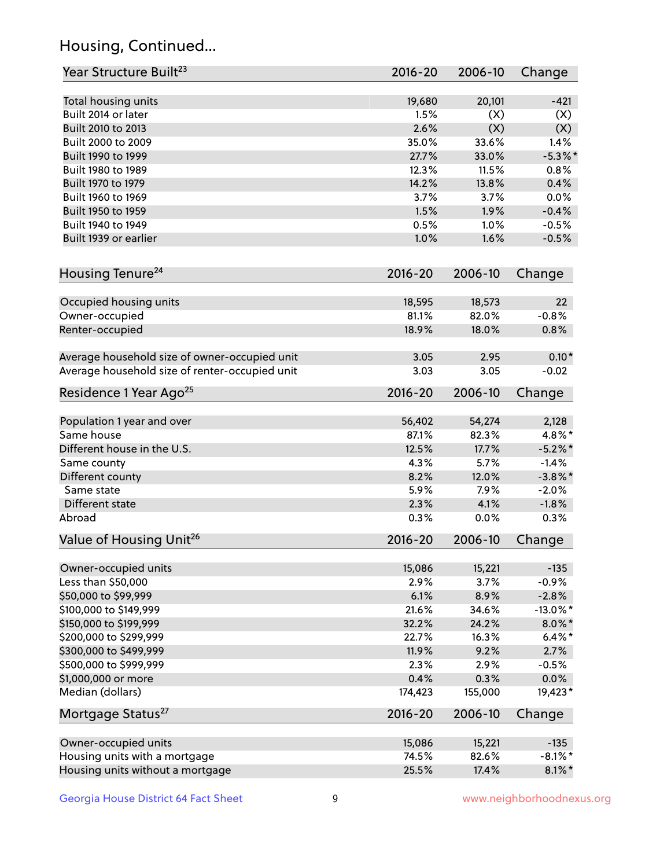## Housing, Continued...

| Year Structure Built <sup>23</sup>             | 2016-20     | 2006-10 | Change      |
|------------------------------------------------|-------------|---------|-------------|
| Total housing units                            | 19,680      | 20,101  | $-421$      |
| Built 2014 or later                            | 1.5%        | (X)     | (X)         |
| Built 2010 to 2013                             | 2.6%        | (X)     | (X)         |
| Built 2000 to 2009                             | 35.0%       | 33.6%   | 1.4%        |
| Built 1990 to 1999                             | 27.7%       | 33.0%   | $-5.3\%$ *  |
| Built 1980 to 1989                             | 12.3%       | 11.5%   | 0.8%        |
| Built 1970 to 1979                             | 14.2%       | 13.8%   | 0.4%        |
| Built 1960 to 1969                             | 3.7%        | 3.7%    | 0.0%        |
| Built 1950 to 1959                             | 1.5%        | 1.9%    | $-0.4%$     |
| Built 1940 to 1949                             | 0.5%        | 1.0%    | $-0.5%$     |
| Built 1939 or earlier                          | 1.0%        | 1.6%    | $-0.5%$     |
|                                                |             |         |             |
| Housing Tenure <sup>24</sup>                   | $2016 - 20$ | 2006-10 | Change      |
| Occupied housing units                         | 18,595      | 18,573  | 22          |
| Owner-occupied                                 | 81.1%       | 82.0%   | $-0.8%$     |
| Renter-occupied                                | 18.9%       | 18.0%   | 0.8%        |
| Average household size of owner-occupied unit  | 3.05        | 2.95    | $0.10*$     |
| Average household size of renter-occupied unit | 3.03        | 3.05    | $-0.02$     |
| Residence 1 Year Ago <sup>25</sup>             | $2016 - 20$ | 2006-10 | Change      |
|                                                |             |         |             |
| Population 1 year and over                     | 56,402      | 54,274  | 2,128       |
| Same house                                     | 87.1%       | 82.3%   | 4.8%*       |
| Different house in the U.S.                    | 12.5%       | 17.7%   | $-5.2\%$ *  |
| Same county                                    | 4.3%        | 5.7%    | $-1.4%$     |
| Different county                               | 8.2%        | 12.0%   | $-3.8\%$ *  |
| Same state                                     | 5.9%        | 7.9%    | $-2.0%$     |
| Different state                                | 2.3%        | 4.1%    | $-1.8%$     |
| Abroad                                         | 0.3%        | 0.0%    | 0.3%        |
| Value of Housing Unit <sup>26</sup>            | $2016 - 20$ | 2006-10 | Change      |
| Owner-occupied units                           | 15,086      | 15,221  | $-135$      |
| Less than \$50,000                             | 2.9%        | 3.7%    | $-0.9%$     |
| \$50,000 to \$99,999                           | 6.1%        | 8.9%    | $-2.8%$     |
| \$100,000 to \$149,999                         | 21.6%       | 34.6%   | $-13.0\%$ * |
| \$150,000 to \$199,999                         | 32.2%       | 24.2%   | $8.0\%$ *   |
| \$200,000 to \$299,999                         | 22.7%       | 16.3%   | $6.4\%*$    |
| \$300,000 to \$499,999                         | 11.9%       | 9.2%    | 2.7%        |
| \$500,000 to \$999,999                         | 2.3%        | 2.9%    | $-0.5%$     |
| \$1,000,000 or more                            | 0.4%        | 0.3%    | 0.0%        |
| Median (dollars)                               | 174,423     | 155,000 | 19,423*     |
| Mortgage Status <sup>27</sup>                  | $2016 - 20$ | 2006-10 | Change      |
|                                                |             |         |             |
| Owner-occupied units                           | 15,086      | 15,221  | $-135$      |
| Housing units with a mortgage                  | 74.5%       | 82.6%   | $-8.1\%$ *  |
| Housing units without a mortgage               | 25.5%       | 17.4%   | $8.1\%$ *   |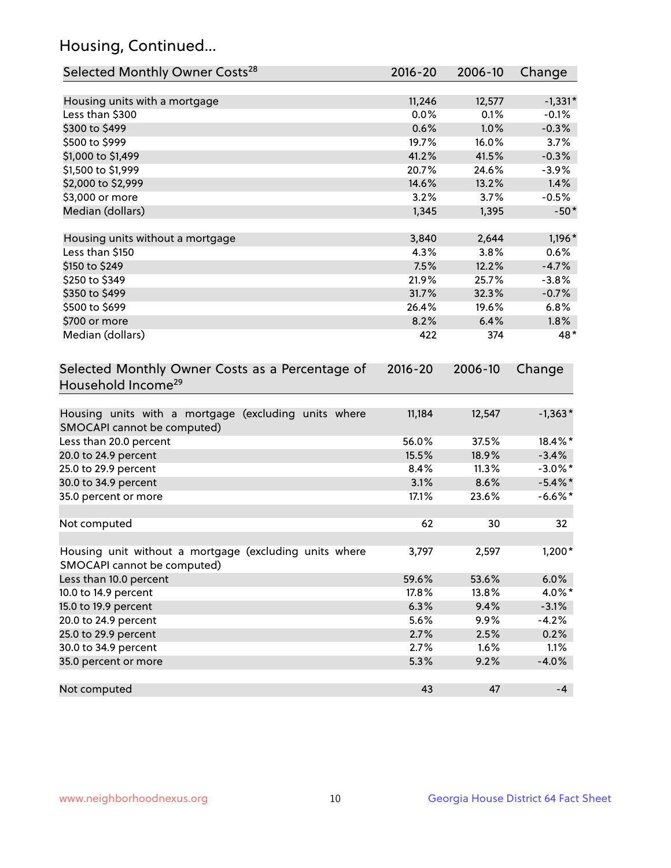## Housing, Continued...

| Selected Monthly Owner Costs <sup>28</sup>                                            | 2016-20     | 2006-10 | Change     |
|---------------------------------------------------------------------------------------|-------------|---------|------------|
| Housing units with a mortgage                                                         | 11,246      | 12,577  | $-1,331*$  |
| Less than \$300                                                                       | 0.0%        | 0.1%    | $-0.1%$    |
| \$300 to \$499                                                                        | 0.6%        | 1.0%    | $-0.3%$    |
| \$500 to \$999                                                                        | 19.7%       | 16.0%   | 3.7%       |
| \$1,000 to \$1,499                                                                    | 41.2%       | 41.5%   | $-0.3%$    |
| \$1,500 to \$1,999                                                                    | 20.7%       | 24.6%   | $-3.9%$    |
| \$2,000 to \$2,999                                                                    | 14.6%       | 13.2%   | 1.4%       |
| \$3,000 or more                                                                       | 3.2%        | 3.7%    | $-0.5%$    |
| Median (dollars)                                                                      | 1,345       | 1,395   | $-50*$     |
| Housing units without a mortgage                                                      | 3,840       | 2,644   | $1,196*$   |
| Less than \$150                                                                       | 4.3%        | 3.8%    | 0.6%       |
| \$150 to \$249                                                                        | 7.5%        | 12.2%   | $-4.7%$    |
| \$250 to \$349                                                                        | 21.9%       | 25.7%   | $-3.8%$    |
| \$350 to \$499                                                                        | 31.7%       | 32.3%   | $-0.7%$    |
| \$500 to \$699                                                                        | 26.4%       | 19.6%   | 6.8%       |
| \$700 or more                                                                         | 8.2%        | 6.4%    | 1.8%       |
| Median (dollars)                                                                      | 422         | 374     | 48*        |
| Selected Monthly Owner Costs as a Percentage of<br>Household Income <sup>29</sup>     | $2016 - 20$ | 2006-10 | Change     |
| Housing units with a mortgage (excluding units where<br>SMOCAPI cannot be computed)   | 11,184      | 12,547  | $-1,363*$  |
| Less than 20.0 percent                                                                | 56.0%       | 37.5%   | 18.4%*     |
| 20.0 to 24.9 percent                                                                  | 15.5%       | 18.9%   | $-3.4%$    |
| 25.0 to 29.9 percent                                                                  | 8.4%        | 11.3%   | $-3.0\%$ * |
| 30.0 to 34.9 percent                                                                  | 3.1%        | 8.6%    | $-5.4\%$ * |
| 35.0 percent or more                                                                  | 17.1%       | 23.6%   | $-6.6\%$ * |
| Not computed                                                                          | 62          | 30      | 32         |
| Housing unit without a mortgage (excluding units where<br>SMOCAPI cannot be computed) | 3,797       | 2,597   | $1,200*$   |
| Less than 10.0 percent                                                                | 59.6%       | 53.6%   | 6.0%       |
| 10.0 to 14.9 percent                                                                  | 17.8%       | 13.8%   | 4.0%*      |
| 15.0 to 19.9 percent                                                                  | 6.3%        | 9.4%    | $-3.1%$    |
| 20.0 to 24.9 percent                                                                  | 5.6%        | 9.9%    | $-4.2%$    |
| 25.0 to 29.9 percent                                                                  | 2.7%        | 2.5%    | 0.2%       |
| 30.0 to 34.9 percent                                                                  | 2.7%        | 1.6%    | 1.1%       |
| 35.0 percent or more                                                                  | 5.3%        | 9.2%    | $-4.0%$    |
| Not computed                                                                          | 43          | 47      | $-4$       |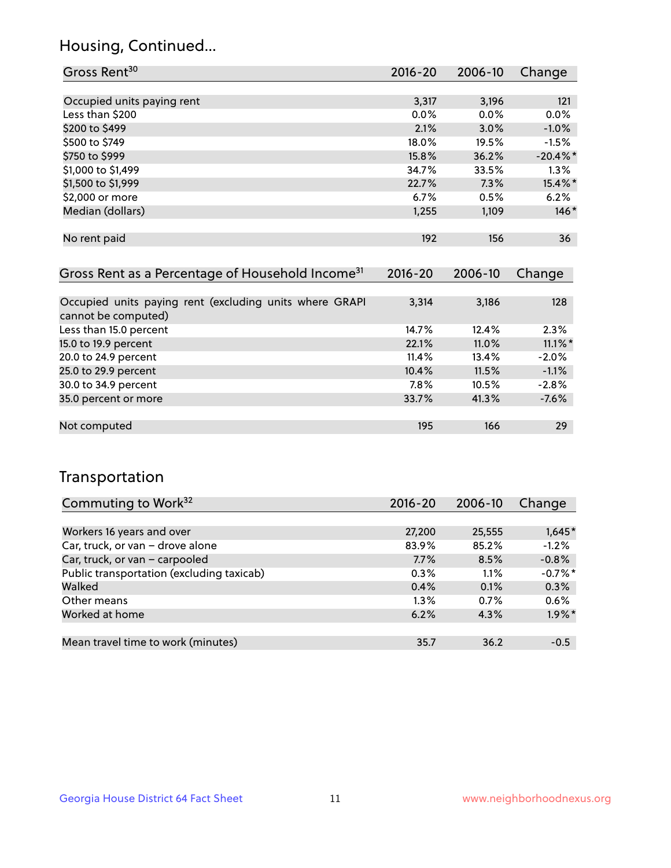## Housing, Continued...

| Gross Rent <sup>30</sup>   | 2016-20 | 2006-10 | Change      |
|----------------------------|---------|---------|-------------|
|                            |         |         |             |
| Occupied units paying rent | 3,317   | 3,196   | 121         |
| Less than \$200            | $0.0\%$ | $0.0\%$ | 0.0%        |
| \$200 to \$499             | 2.1%    | 3.0%    | $-1.0%$     |
| \$500 to \$749             | 18.0%   | 19.5%   | $-1.5%$     |
| \$750 to \$999             | 15.8%   | 36.2%   | $-20.4\%$ * |
| \$1,000 to \$1,499         | 34.7%   | 33.5%   | 1.3%        |
| \$1,500 to \$1,999         | 22.7%   | 7.3%    | 15.4%*      |
| \$2,000 or more            | 6.7%    | 0.5%    | 6.2%        |
| Median (dollars)           | 1,255   | 1,109   | $146*$      |
|                            |         |         |             |
| No rent paid               | 192     | 156     | 36          |
|                            |         |         |             |

| Gross Rent as a Percentage of Household Income <sup>31</sup>                   | $2016 - 20$ | 2006-10 | Change     |
|--------------------------------------------------------------------------------|-------------|---------|------------|
|                                                                                |             |         |            |
| Occupied units paying rent (excluding units where GRAPI<br>cannot be computed) | 3,314       | 3,186   | 128        |
| Less than 15.0 percent                                                         | 14.7%       | 12.4%   | 2.3%       |
| 15.0 to 19.9 percent                                                           | 22.1%       | 11.0%   | $11.1\%$ * |
| 20.0 to 24.9 percent                                                           | 11.4%       | 13.4%   | $-2.0%$    |
| 25.0 to 29.9 percent                                                           | 10.4%       | 11.5%   | $-1.1%$    |
| 30.0 to 34.9 percent                                                           | 7.8%        | 10.5%   | $-2.8%$    |
| 35.0 percent or more                                                           | 33.7%       | 41.3%   | $-7.6%$    |
|                                                                                |             |         |            |
| Not computed                                                                   | 195         | 166     | 29         |

## Transportation

| Commuting to Work <sup>32</sup>           | $2016 - 20$ | 2006-10 | Change                |
|-------------------------------------------|-------------|---------|-----------------------|
|                                           |             |         |                       |
| Workers 16 years and over                 | 27,200      | 25,555  | $1,645*$              |
| Car, truck, or van - drove alone          | 83.9%       | 85.2%   | $-1.2%$               |
| Car, truck, or van - carpooled            | 7.7%        | 8.5%    | $-0.8%$               |
| Public transportation (excluding taxicab) | 0.3%        | 1.1%    | $-0.7\%$ <sup>*</sup> |
| Walked                                    | 0.4%        | 0.1%    | 0.3%                  |
| Other means                               | $1.3\%$     | 0.7%    | 0.6%                  |
| Worked at home                            | 6.2%        | 4.3%    | $1.9\%$ *             |
|                                           |             |         |                       |
| Mean travel time to work (minutes)        | 35.7        | 36.2    | $-0.5$                |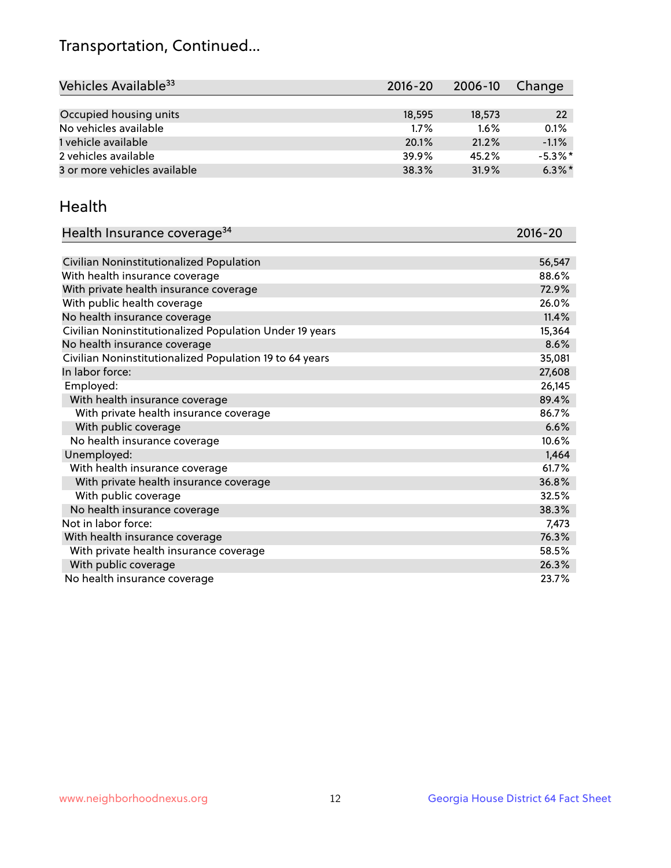## Transportation, Continued...

| Vehicles Available <sup>33</sup> | $2016 - 20$ | 2006-10 | Change     |
|----------------------------------|-------------|---------|------------|
|                                  |             |         |            |
| Occupied housing units           | 18,595      | 18,573  | 22         |
| No vehicles available            | 1.7%        | $1.6\%$ | 0.1%       |
| 1 vehicle available              | 20.1%       | 21.2%   | $-1.1%$    |
| 2 vehicles available             | 39.9%       | 45.2%   | $-5.3\%$ * |
| 3 or more vehicles available     | 38.3%       | 31.9%   | $6.3\%$ *  |

#### Health

| Health Insurance coverage <sup>34</sup>                 | 2016-20 |
|---------------------------------------------------------|---------|
|                                                         |         |
| Civilian Noninstitutionalized Population                | 56,547  |
| With health insurance coverage                          | 88.6%   |
| With private health insurance coverage                  | 72.9%   |
| With public health coverage                             | 26.0%   |
| No health insurance coverage                            | 11.4%   |
| Civilian Noninstitutionalized Population Under 19 years | 15,364  |
| No health insurance coverage                            | 8.6%    |
| Civilian Noninstitutionalized Population 19 to 64 years | 35,081  |
| In labor force:                                         | 27,608  |
| Employed:                                               | 26,145  |
| With health insurance coverage                          | 89.4%   |
| With private health insurance coverage                  | 86.7%   |
| With public coverage                                    | 6.6%    |
| No health insurance coverage                            | 10.6%   |
| Unemployed:                                             | 1,464   |
| With health insurance coverage                          | 61.7%   |
| With private health insurance coverage                  | 36.8%   |
| With public coverage                                    | 32.5%   |
| No health insurance coverage                            | 38.3%   |
| Not in labor force:                                     | 7,473   |
| With health insurance coverage                          | 76.3%   |
| With private health insurance coverage                  | 58.5%   |
| With public coverage                                    | 26.3%   |
| No health insurance coverage                            | 23.7%   |